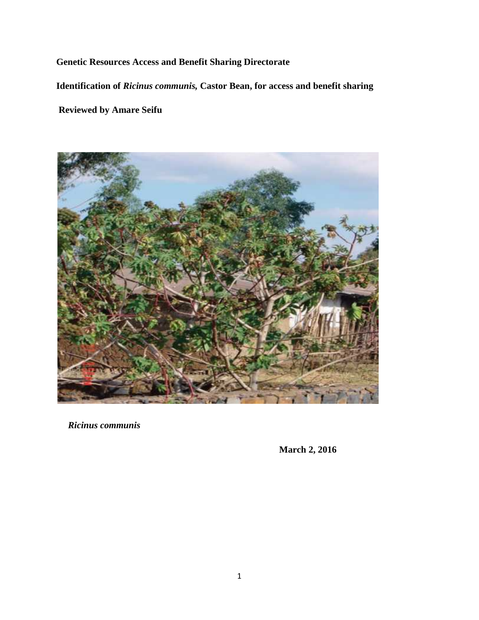# **Genetic Resources Access and Benefit Sharing Directorate**

**Identification of** *Ricinus communis,* **Castor Bean, for access and benefit sharing**

**Reviewed by Amare Seifu**



*Ricinus communis*

**March 2, 2016**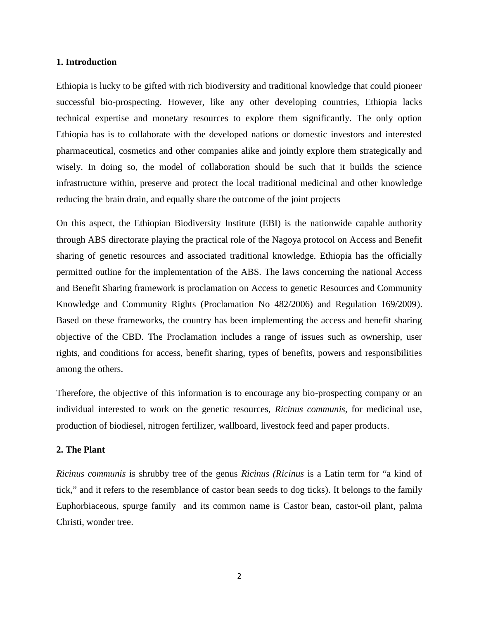#### **1. Introduction**

Ethiopia is lucky to be gifted with rich biodiversity and traditional knowledge that could pioneer successful bio-prospecting. However, like any other developing countries, Ethiopia lacks technical expertise and monetary resources to explore them significantly. The only option Ethiopia has is to collaborate with the developed nations or domestic investors and interested pharmaceutical, cosmetics and other companies alike and jointly explore them strategically and wisely. In doing so, the model of collaboration should be such that it builds the science infrastructure within, preserve and protect the local traditional medicinal and other knowledge reducing the brain drain, and equally share the outcome of the joint projects

On this aspect, the Ethiopian Biodiversity Institute (EBI) is the nationwide capable authority through ABS directorate playing the practical role of the Nagoya protocol on Access and Benefit sharing of genetic resources and associated traditional knowledge. Ethiopia has the officially permitted outline for the implementation of the ABS. The laws concerning the national Access and Benefit Sharing framework is proclamation on Access to genetic Resources and Community Knowledge and Community Rights (Proclamation No 482/2006) and Regulation 169/2009). Based on these frameworks, the country has been implementing the access and benefit sharing objective of the CBD. The Proclamation includes a range of issues such as ownership, user rights, and conditions for access, benefit sharing, types of benefits, powers and responsibilities among the others.

Therefore, the objective of this information is to encourage any bio-prospecting company or an individual interested to work on the genetic resources, *Ricinus communis,* for medicinal use, production of biodiesel, nitrogen fertilizer, wallboard, livestock feed and paper products.

# **2. The Plant**

*Ricinus communis* is shrubby tree of the genus *Ricinus (Ricinus* is a Latin term for "a kind of tick," and it refers to the resemblance of castor bean seeds to dog ticks). It belongs to the family Euphorbiaceous, spurge family and its common name is Castor bean, castor-oil plant, palma Christi, wonder tree.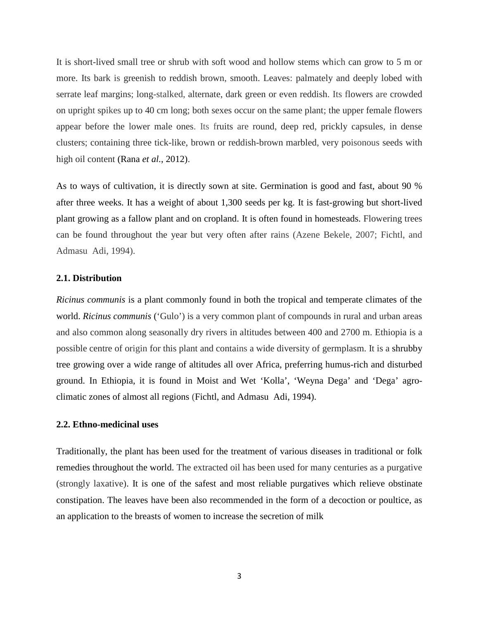It is short-lived small tree or shrub with soft wood and hollow stems which can grow to 5 m or more. Its bark is greenish to reddish brown, smooth. Leaves: palmately and deeply lobed with serrate leaf margins; long-stalked, alternate, dark green or even reddish. Its flowers are crowded on upright spikes up to 40 cm long; both sexes occur on the same plant; the upper female flowers appear before the lower male ones. Its fruits are round, deep red, prickly capsules, in dense clusters; containing three tick-like, brown or reddish-brown marbled, very poisonous seeds with high oil content (Rana *et al.*, 2012).

As to ways of cultivation, it is directly sown at site. Germination is good and fast, about 90 % after three weeks. It has a weight of about 1,300 seeds per kg. It is fast-growing but short-lived plant growing as a fallow plant and on cropland. It is often found in homesteads. Flowering trees can be found throughout the year but very often after rains (Azene Bekele, 2007; Fichtl, and Admasu Adi, 1994).

#### **2.1. Distribution**

*Ricinus communis* is a plant commonly found in both the tropical and temperate climates of the world. *Ricinus communis* ('Gulo') is a very common plant of compounds in rural and urban areas and also common along seasonally dry rivers in altitudes between 400 and 2700 m. Ethiopia is a possible centre of origin for this plant and contains a wide diversity of germplasm. It is a shrubby tree growing over a wide range of altitudes all over Africa, preferring humus-rich and disturbed ground. In Ethiopia, it is found in Moist and Wet 'Kolla', 'Weyna Dega' and 'Dega' agro climatic zones of almost all regions (Fichtl, and Admasu Adi, 1994).

#### **2.2. Ethno-medicinal uses**

Traditionally, the plant has been used for the treatment of various diseases in traditional or folk remedies throughout the world. The extracted oil has been used for many centuries as a purgative (strongly laxative). It is one of the safest and most reliable purgatives which relieve obstinate constipation. The leaves have been also recommended in the form of a decoction or poultice, as an application to the breasts of women to increase the secretion of milk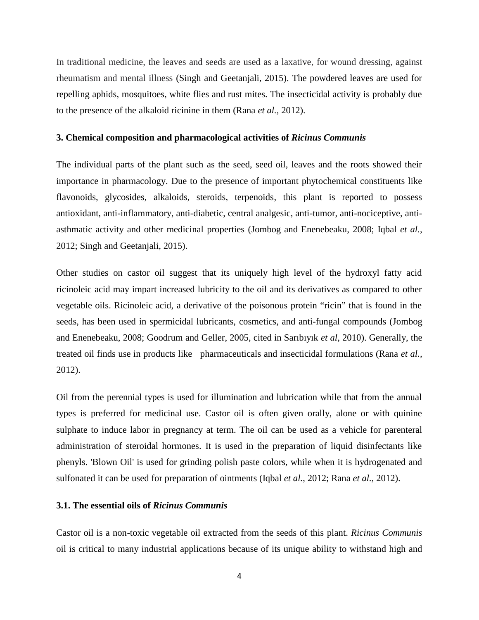In traditional medicine, the leaves and seeds are used as a laxative, for wound dressing, against rheumatism and mental illness (Singh and Geetanjali, 2015). The powdered leaves are used for repelling aphids, mosquitoes, white flies and rust mites. The insecticidal activity is probably due to the presence of the alkaloid ricinine in them (Rana *et al.,* 2012).

### **3. Chemical composition and pharmacological activities of** *Ricinus Communis*

The individual parts of the plant such as the seed, seed oil, leaves and the roots showed their importance in pharmacology. Due to the presence of important phytochemical constituents like flavonoids, glycosides, alkaloids, steroids, terpenoids, this plant is reported to possess antioxidant, anti-inflammatory, anti-diabetic, central analgesic, anti-tumor, anti-nociceptive, anti asthmatic activity and other medicinal properties (Jombog and Enenebeaku, 2008; Iqbal *et al.*, 2012; Singh and Geetanjali, 2015).

Other studies on castor oil suggest that its uniquely high level of the hydroxyl fatty acid ricinoleic acid may impart increased lubricity to the oil and its derivatives as compared to other vegetable oils. Ricinoleic acid, a derivative of the poisonous protein "ricin" that is found in the seeds, has been used in spermicidal lubricants, cosmetics, and anti-fungal compounds (Jombog and Enenebeaku, 2008; Goodrum and Geller, 2005, cited in Sarıbıyık *et al*, 2010). Generally, the treated oil finds use in products like pharmaceuticals and insecticidal formulations (Rana *et al.,* 2012).

Oil from the perennial types is used for illumination and lubrication while that from the annual types is preferred for medicinal use. Castor oil is often given orally, alone or with quinine sulphate to induce labor in pregnancy at term. The oil can be used as a vehicle for parenteral administration of steroidal hormones. It is used in the preparation of liquid disinfectants like phenyls. 'Blown Oil' is used for grinding polish paste colors, while when it is hydrogenated and sulfonated it can be used for preparation of ointments (Iqbal *et al.*, 2012; Rana *et al.,* 2012).

## **3.1. The essential oils of** *Ricinus Communis*

Castor oil is a non-toxic vegetable oil extracted from the seeds of this plant. *Ricinus Communis* oil is critical to many industrial applications because of its unique ability to withstand high and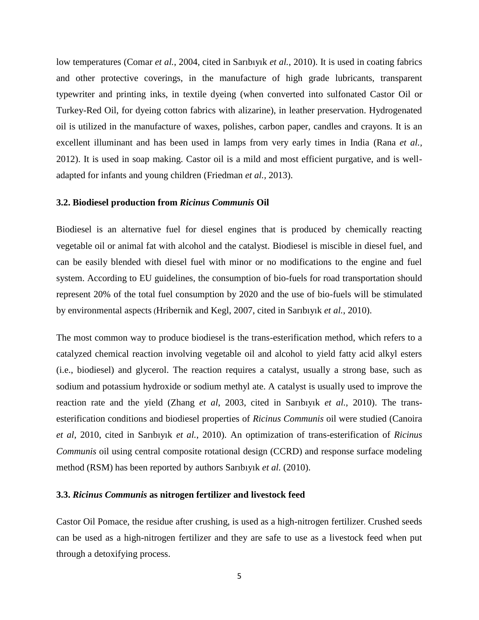low temperatures (Comar *et al.*, 2004, cited in Sarıbıyık *et al.*, 2010). It is used in coating fabrics and other protective coverings, in the manufacture of high grade lubricants, transparent typewriter and printing inks, in textile dyeing (when converted into sulfonated Castor Oil or Turkey-Red Oil, for dyeing cotton fabrics with alizarine), in leather preservation. Hydrogenated oil is utilized in the manufacture of waxes, polishes, carbon paper, candles and crayons. It is an excellent illuminant and has been used in lamps from very early times in India (Rana *et al.,* 2012). It is used in soap making. Castor oil is a mild and most efficient purgative, and is well adapted for infants and young children (Friedman *et al.,* 2013).

## **3.2. Biodiesel production from** *Ricinus Communis* **Oil**

Biodiesel is an alternative fuel for diesel engines that is produced by chemically reacting vegetable oil or animal fat with alcohol and the catalyst. Biodiesel is miscible in diesel fuel, and can be easily blended with diesel fuel with minor or no modifications to the engine and fuel system. According to EU guidelines, the consumption of bio-fuels for road transportation should represent 20% of the total fuel consumption by 2020 and the use of bio-fuels will be stimulated by environmental aspects (Hribernik and Kegl, 2007, cited in Sarıbıyık *et al.*, 2010).

The most common way to produce biodiesel is the trans-esterification method, which refers to a catalyzed chemical reaction involving vegetable oil and alcohol to yield fatty acid alkyl esters (i.e., biodiesel) and glycerol. The reaction requires a catalyst, usually a strong base, such as sodium and potassium hydroxide or sodium methyl ate. A catalyst is usually used to improve the reaction rate and the yield (Zhang *et al*, 2003, cited in Sarıbıyık *et al.*, 2010). The trans esterification conditions and biodiesel properties of *Ricinus Communis* oil were studied (Canoira *et al*, 2010, cited in Sarıbıyık *et al.*, 2010). An optimization of trans-esterification of *Ricinus Communis* oil using central composite rotational design (CCRD) and response surface modeling method (RSM) has been reported by authors Sarıbıyık *et al.* (2010).

## **3.3.** *Ricinus Communis* **as nitrogen fertilizer and livestock feed**

Castor Oil Pomace, the residue after crushing, is used as a high-nitrogen fertilizer. Crushed seeds can be used as a high-nitrogen fertilizer and they are safe to use as a livestock feed when put through a detoxifying process.